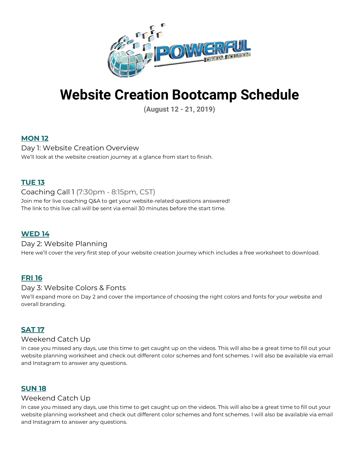

# **Website Creation Bootcamp Schedule**

**(August 12 - 21, 2019)**

# **MON 12**

Day 1: Website Creation Overview We'll look at the website creation journey at a glance from start to finish.

### **TUE 13**

Coaching Call 1 (7:30pm - 8:15pm, CST) Join me for live coaching Q&A to get your website-related questions answered! The link to this live call will be sent via email 30 minutes before the start time.

# **WED 14**

# Day 2: Website Planning

Here we'll cover the very first step of your website creation journey which includes a free worksheet to download.

#### **FRI 16**

#### Day 3: Website Colors & Fonts

We'll expand more on Day 2 and cover the importance of choosing the right colors and fonts for your website and overall branding.

#### **SAT 17**

#### Weekend Catch Up

In case you missed any days, use this time to get caught up on the videos. This will also be a great time to fill out your website planning worksheet and check out different color schemes and font schemes. I will also be available via email and Instagram to answer any questions.

# **SUN 18**

#### Weekend Catch Up

In case you missed any days, use this time to get caught up on the videos. This will also be a great time to fill out your website planning worksheet and check out different color schemes and font schemes. I will also be available via email and Instagram to answer any questions.